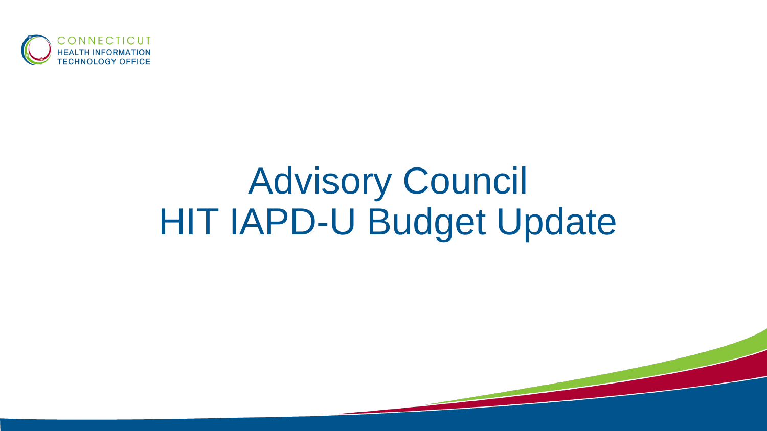

## Advisory Council HIT IAPD-U Budget Update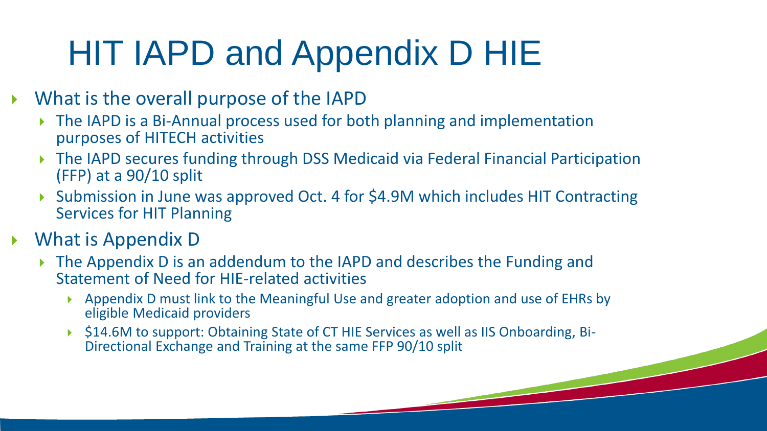## HIT IAPD and Appendix D HIE

- What is the overall purpose of the IAPD
	- ▶ The IAPD is a Bi-Annual process used for both planning and implementation purposes of HITECH activities
	- The IAPD secures funding through DSS Medicaid via Federal Financial Participation (FFP) at a 90/10 split
	- ▶ Submission in June was approved Oct. 4 for \$4.9M which includes HIT Contracting Services for HIT Planning
- What is Appendix D
	- ▶ The Appendix D is an addendum to the IAPD and describes the Funding and Statement of Need for HIE-related activities
		- Appendix D must link to the Meaningful Use and greater adoption and use of EHRs by eligible Medicaid providers
		- \$14.6M to support: Obtaining State of CT HIE Services as well as IIS Onboarding, Bi-Directional Exchange and Training at the same FFP 90/10 split